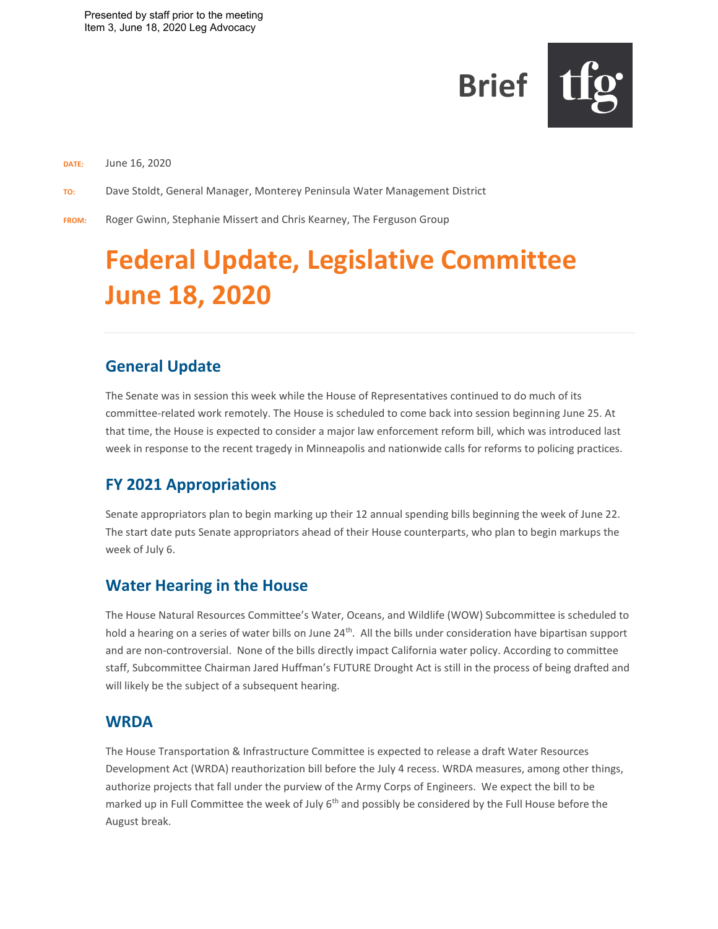

**DATE:** June 16, 2020

**TO:** Dave Stoldt, General Manager, Monterey Peninsula Water Management District

**FROM:** Roger Gwinn, Stephanie Missert and Chris Kearney, The Ferguson Group

# **Federal Update, Legislative Committee June 18, 2020**

## **General Update**

The Senate was in session this week while the House of Representatives continued to do much of its committee-related work remotely. The House is scheduled to come back into session beginning June 25. At that time, the House is expected to consider a major law enforcement reform bill, which was introduced last week in response to the recent tragedy in Minneapolis and nationwide calls for reforms to policing practices.

# **FY 2021 Appropriations**

Senate appropriators plan to begin marking up their 12 annual spending bills beginning the week of June 22. The start date puts Senate appropriators ahead of their House counterparts, who plan to begin markups the week of July 6.

## **Water Hearing in the House**

The House Natural Resources Committee's Water, Oceans, and Wildlife (WOW) Subcommittee is scheduled to hold a hearing on a series of water bills on June 24<sup>th</sup>. All the bills under consideration have bipartisan support and are non-controversial. None of the bills directly impact California water policy. According to committee staff, Subcommittee Chairman Jared Huffman's FUTURE Drought Act is still in the process of being drafted and will likely be the subject of a subsequent hearing.

### **WRDA**

The House Transportation & Infrastructure Committee is expected to release a draft Water Resources Development Act (WRDA) reauthorization bill before the July 4 recess. WRDA measures, among other things, authorize projects that fall under the purview of the Army Corps of Engineers. We expect the bill to be marked up in Full Committee the week of July  $6<sup>th</sup>$  and possibly be considered by the Full House before the August break.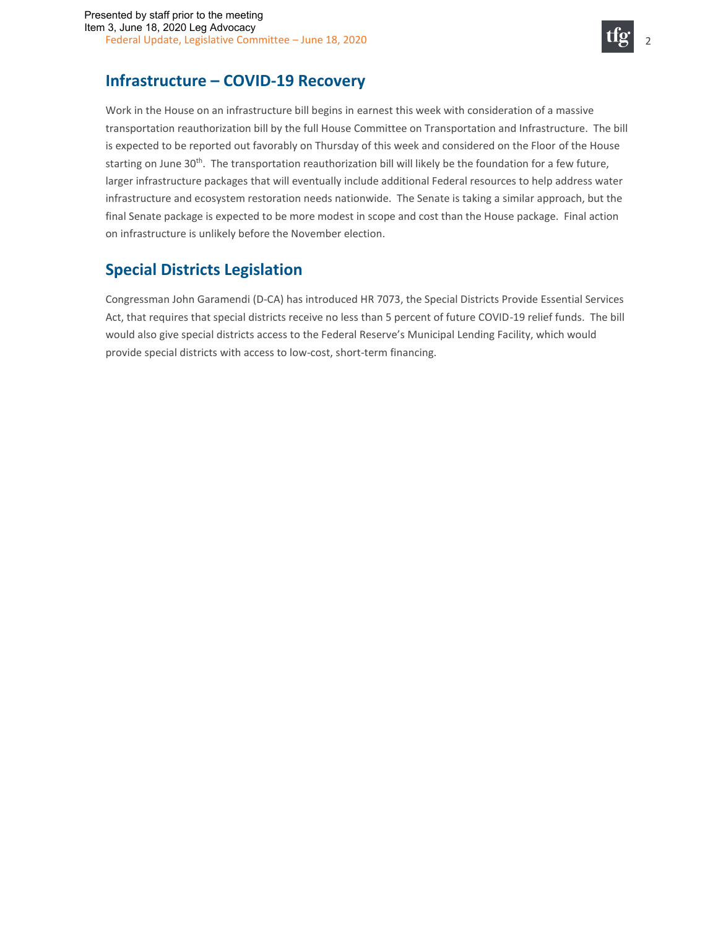

## **Infrastructure – COVID-19 Recovery**

Work in the House on an infrastructure bill begins in earnest this week with consideration of a massive transportation reauthorization bill by the full House Committee on Transportation and Infrastructure. The bill is expected to be reported out favorably on Thursday of this week and considered on the Floor of the House starting on June 30<sup>th</sup>. The transportation reauthorization bill will likely be the foundation for a few future, larger infrastructure packages that will eventually include additional Federal resources to help address water infrastructure and ecosystem restoration needs nationwide. The Senate is taking a similar approach, but the final Senate package is expected to be more modest in scope and cost than the House package. Final action on infrastructure is unlikely before the November election.

# **Special Districts Legislation**

Congressman John Garamendi (D-CA) has introduced HR 7073, the Special Districts Provide Essential Services Act, that requires that special districts receive no less than 5 percent of future COVID-19 relief funds. The bill would also give special districts access to the Federal Reserve's Municipal Lending Facility, which would provide special districts with access to low-cost, short-term financing.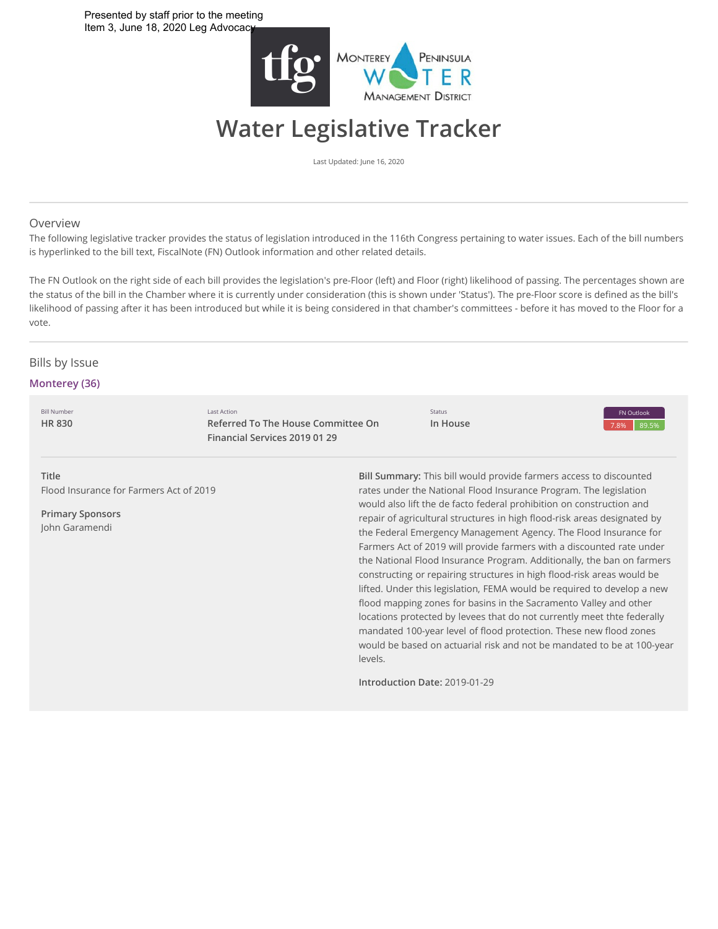

# **Water Legislative Tracker**

Last Updated: June 16, 2020

#### Overview

The following legislative tracker provides the status of legislation introduced in the 116th Congress pertaining to water issues. Each of the bill numbers is hyperlinked to the bill text, FiscalNote (FN) Outlook information and other related details.

The FN Outlook on the right side of each bill provides the legislation's pre-Floor (left) and Floor (right) likelihood of passing. The percentages shown are the status of the bill in the Chamber where it is currently under consideration (this is shown under 'Status'). The pre-Floor score is defined as the bill's likelihood of passing after it has been introduced but while it is being considered in that chamber's committees - before it has moved to the Floor for a vote.

#### **Bills** by Issue

#### **Monterey (36)**

Bill Number **[HR 830](http://app.fiscalnote.com/#/share/bill?url=a7e6fda6eab3e27d7cd69559c508499f)** Last Action **Referred To The House Committee On Financial Services 2019 01 29**

Status **In House** 7.8% 89.5% FN Outlook

**Title** Flood Insurance for Farmers Act of 2019

**Primary Sponsors** John Garamendi

**Bill Summary:** This bill would provide farmers access to discounted rates under the National Flood Insurance Program. The legislation would also lift the de facto federal prohibition on construction and repair of agricultural structures in high flood-risk areas designated by the Federal Emergency Management Agency. The Flood Insurance for Farmers Act of 2019 will provide farmers with a discounted rate under the National Flood Insurance Program. Additionally, the ban on farmers constructing or repairing structures in high flood-risk areas would be lifted. Under this legislation, FEMA would be required to develop a new flood mapping zones for basins in the Sacramento Valley and other locations protected by levees that do not currently meet thte federally mandated 100-year level of flood protection. These new flood zones would be based on actuarial risk and not be mandated to be at 100-year levels.

**Introduction Date:** 2019-01-29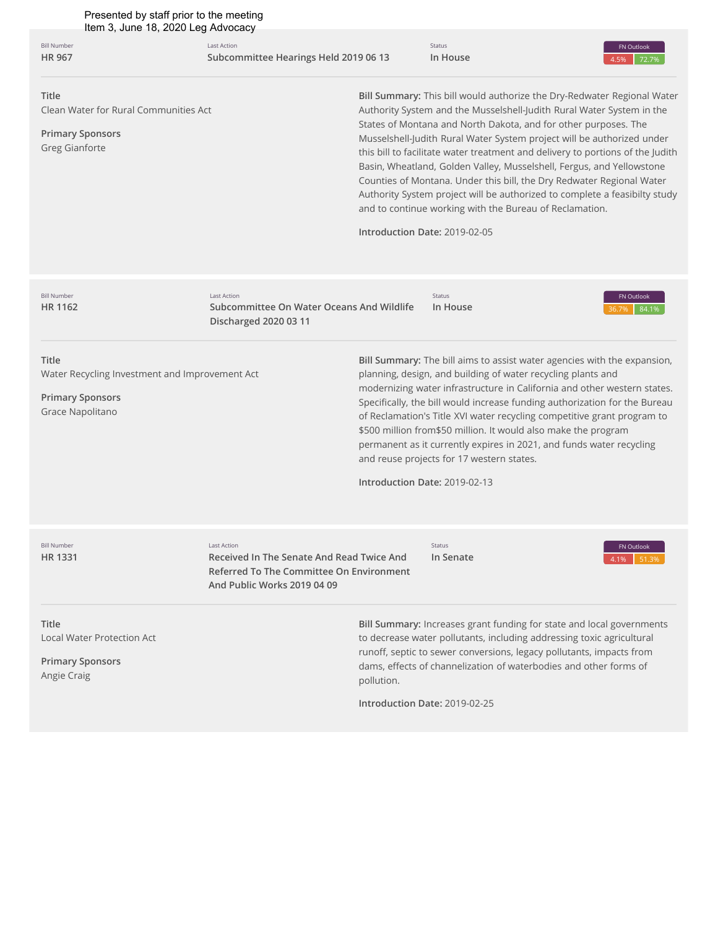4.5% 72.7% Bill Number **[HR 967](http://app.fiscalnote.com/#/share/bill?url=6e46241c92645819c1375d8213c7f1d3)** Last Action **Subcommittee Hearings Held 2019 06 13** Status **In House** FN Outlook

**Title**

Clean Water for Rural Communities Act

**Primary Sponsors** Greg Gianforte

**Bill Summary:** This bill would authorize the Dry-Redwater Regional Water Authority System and the Musselshell-Judith Rural Water System in the States of Montana and North Dakota, and for other purposes. The Musselshell-Judith Rural Water System project will be authorized under this bill to facilitate water treatment and delivery to portions of the Judith Basin, Wheatland, Golden Valley, Musselshell, Fergus, and Yellowstone Counties of Montana. Under this bill, the Dry Redwater Regional Water Authority System project will be authorized to complete a feasibilty study and to continue working with the Bureau of Reclamation.

**Introduction Date:** 2019-02-05

| <b>Bill Number</b><br>HR 1162                                                                          | <b>Last Action</b><br>Subcommittee On Water Oceans And Wildlife<br>Discharged 2020 03 11                                            |                                             | <b>Status</b><br>In House                                                                                                                                                                                                                                                                                                                                                                                                                                                                                                                                             | FN Outlook<br>84.1%<br>36.7% |
|--------------------------------------------------------------------------------------------------------|-------------------------------------------------------------------------------------------------------------------------------------|---------------------------------------------|-----------------------------------------------------------------------------------------------------------------------------------------------------------------------------------------------------------------------------------------------------------------------------------------------------------------------------------------------------------------------------------------------------------------------------------------------------------------------------------------------------------------------------------------------------------------------|------------------------------|
| Title<br>Water Recycling Investment and Improvement Act<br><b>Primary Sponsors</b><br>Grace Napolitano |                                                                                                                                     | Introduction Date: 2019-02-13               | Bill Summary: The bill aims to assist water agencies with the expansion,<br>planning, design, and building of water recycling plants and<br>modernizing water infrastructure in California and other western states.<br>Specifically, the bill would increase funding authorization for the Bureau<br>of Reclamation's Title XVI water recycling competitive grant program to<br>\$500 million from \$50 million. It would also make the program<br>permanent as it currently expires in 2021, and funds water recycling<br>and reuse projects for 17 western states. |                              |
| <b>Bill Number</b><br>HR 1331                                                                          | Last Action<br>Received In The Senate And Read Twice And<br>Referred To The Committee On Environment<br>And Public Works 2019 04 09 |                                             | <b>Status</b><br>In Senate                                                                                                                                                                                                                                                                                                                                                                                                                                                                                                                                            | FN Outlook<br>4.1%<br>51.3%  |
| Title<br><b>Local Water Protection Act</b><br><b>Primary Sponsors</b><br>Angie Craig                   |                                                                                                                                     | pollution.<br>Introduction Date: 2019-02-25 | Bill Summary: Increases grant funding for state and local governments<br>to decrease water pollutants, including addressing toxic agricultural<br>runoff, septic to sewer conversions, legacy pollutants, impacts from<br>dams, effects of channelization of waterbodies and other forms of                                                                                                                                                                                                                                                                           |                              |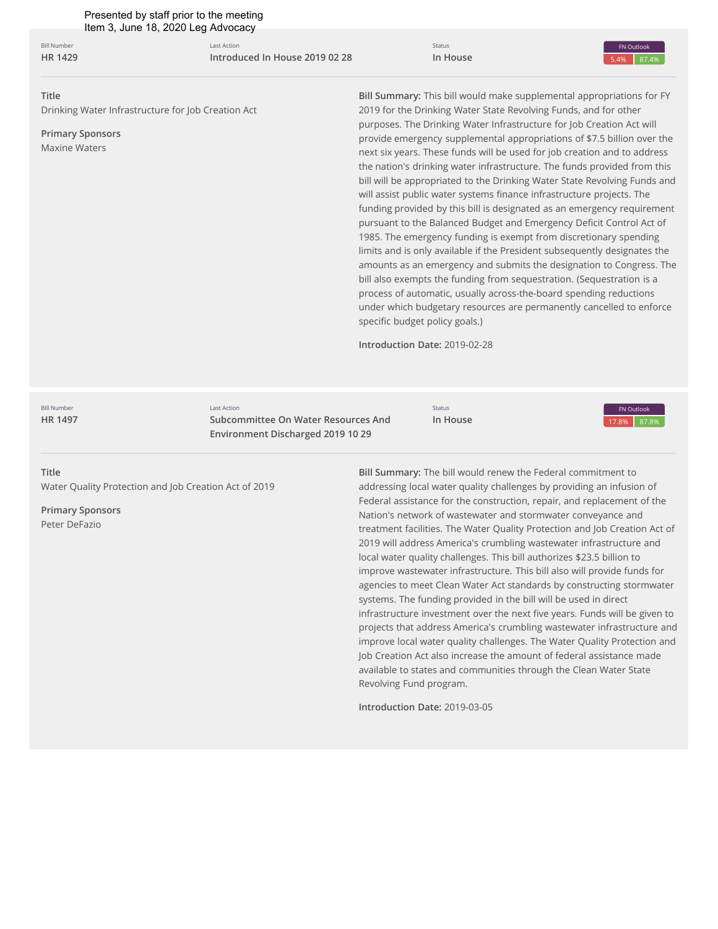5.4% 87.4% **Title** Drinking Water Infrastructure for Job Creation Act **Primary Sponsors** Maxine Waters **Bill Summary:** This bill would make supplemental appropriations for FY 2019 for the Drinking Water State Revolving Funds, and for other purposes. The Drinking Water Infrastructure for Job Creation Act will provide emergency supplemental appropriations of \$7.5 billion over the next six years. These funds will be used for job creation and to address the nation's drinking water infrastructure. The funds provided from this bill will be appropriated to the Drinking Water State Revolving Funds and will assist public water systems finance infrastructure projects. The funding provided by this bill is designated as an emergency requirement pursuant to the Balanced Budget and Emergency Deficit Control Act of 1985. The emergency funding is exempt from discretionary spending limits and is only available if the President subsequently designates the amounts as an emergency and submits the designation to Congress. The bill also exempts the funding from sequestration. (Sequestration is a process of automatic, usually across-the-board spending reductions under which budgetary resources are permanently cancelled to enforce specific budget policy goals.) **Introduction Date:** 2019-02-28 **Bill Number [HR 1429](http://app.fiscalnote.com/#/share/bill?url=8847fc91c1765636b1a582644c8156be)** Last Action **Introduced In House 2019 02 28** Status **In House** FN Outlook Presented by staff prior to the meeting Item 3, June 18, 2020 Leg Advocacy

**Bill Number [HR 1497](http://app.fiscalnote.com/#/share/bill?url=0220e035627f793c61dd6220948ad4a4)**

Last Action **Subcommittee On Water Resources And Environment Discharged 2019 10 29**

Status **In House** 17.8% 87.8% FN Outlook

#### **Title**

Water Quality Protection and Job Creation Act of 2019

**Primary Sponsors** Peter DeFazio

**Bill Summary:** The bill would renew the Federal commitment to addressing local water quality challenges by providing an infusion of Federal assistance for the construction, repair, and replacement of the Nation's network of wastewater and stormwater conveyance and treatment facilities. The Water Quality Protection and Job Creation Act of 2019 will address America's crumbling wastewater infrastructure and local water quality challenges. This bill authorizes \$23.5 billion to improve wastewater infrastructure. This bill also will provide funds for agencies to meet Clean Water Act standards by constructing stormwater systems. The funding provided in the bill will be used in direct infrastructure investment over the next five years. Funds will be given to projects that address America's crumbling wastewater infrastructure and improve local water quality challenges. The Water Quality Protection and Job Creation Act also increase the amount of federal assistance made available to states and communities through the Clean Water State Revolving Fund program.

**Introduction Date:** 2019-03-05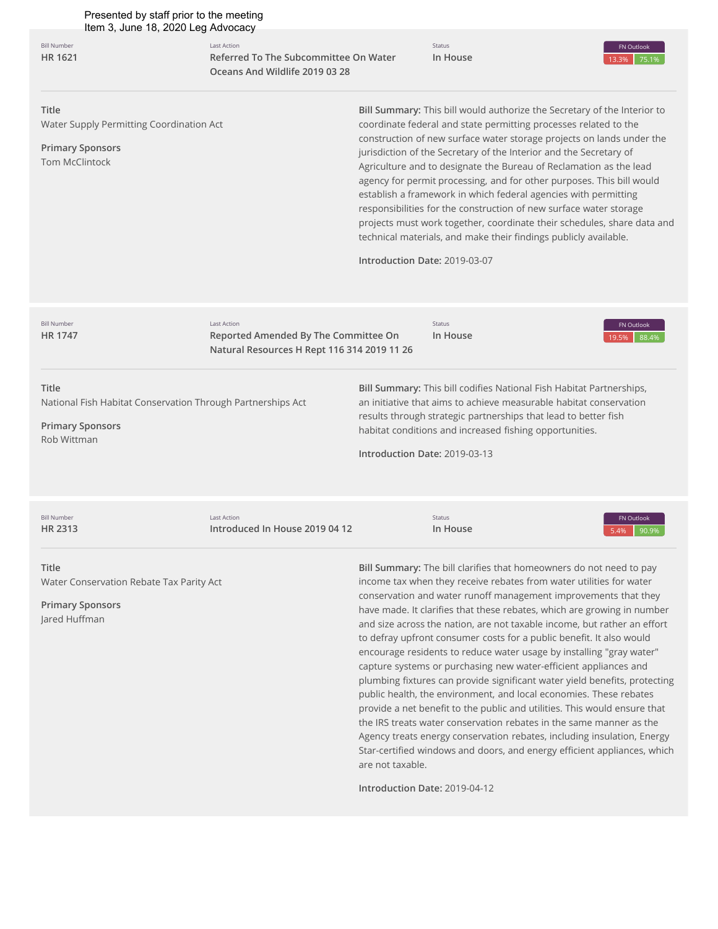| Presented by staff prior to the meeting<br>Item 3, June 18, 2020 Leg Advocacy                                  |                                                                                                           |                                                   |                                                                                                                                                                                                                                                                                                                                                                                                                                                                                                                                                                                                                                                                                                                                                                                                                                                                                                                                                                                                                                                         |                              |  |
|----------------------------------------------------------------------------------------------------------------|-----------------------------------------------------------------------------------------------------------|---------------------------------------------------|---------------------------------------------------------------------------------------------------------------------------------------------------------------------------------------------------------------------------------------------------------------------------------------------------------------------------------------------------------------------------------------------------------------------------------------------------------------------------------------------------------------------------------------------------------------------------------------------------------------------------------------------------------------------------------------------------------------------------------------------------------------------------------------------------------------------------------------------------------------------------------------------------------------------------------------------------------------------------------------------------------------------------------------------------------|------------------------------|--|
| <b>Bill Number</b><br><b>HR 1621</b>                                                                           | <b>Last Action</b><br>Referred To The Subcommittee On Water<br>Oceans And Wildlife 2019 03 28             |                                                   | Status<br>In House                                                                                                                                                                                                                                                                                                                                                                                                                                                                                                                                                                                                                                                                                                                                                                                                                                                                                                                                                                                                                                      | FN Outlook<br>75.1%<br>13.3% |  |
| Title<br>Water Supply Permitting Coordination Act<br><b>Primary Sponsors</b><br><b>Tom McClintock</b>          |                                                                                                           | Introduction Date: 2019-03-07                     | Bill Summary: This bill would authorize the Secretary of the Interior to<br>coordinate federal and state permitting processes related to the<br>construction of new surface water storage projects on lands under the<br>jurisdiction of the Secretary of the Interior and the Secretary of<br>Agriculture and to designate the Bureau of Reclamation as the lead<br>agency for permit processing, and for other purposes. This bill would<br>establish a framework in which federal agencies with permitting<br>responsibilities for the construction of new surface water storage<br>projects must work together, coordinate their schedules, share data and<br>technical materials, and make their findings publicly available.                                                                                                                                                                                                                                                                                                                      |                              |  |
| <b>Bill Number</b><br>HR 1747                                                                                  | <b>Last Action</b><br>Reported Amended By The Committee On<br>Natural Resources H Rept 116 314 2019 11 26 |                                                   | Status<br>In House                                                                                                                                                                                                                                                                                                                                                                                                                                                                                                                                                                                                                                                                                                                                                                                                                                                                                                                                                                                                                                      | FN Outlook<br>88.4%<br>19.5% |  |
| Title<br>National Fish Habitat Conservation Through Partnerships Act<br><b>Primary Sponsors</b><br>Rob Wittman |                                                                                                           | Introduction Date: 2019-03-13                     | Bill Summary: This bill codifies National Fish Habitat Partnerships,<br>an initiative that aims to achieve measurable habitat conservation<br>results through strategic partnerships that lead to better fish<br>habitat conditions and increased fishing opportunities.                                                                                                                                                                                                                                                                                                                                                                                                                                                                                                                                                                                                                                                                                                                                                                                |                              |  |
| <b>Bill Number</b><br>HR 2313                                                                                  | <b>Last Action</b><br>Introduced In House 2019 04 12                                                      |                                                   | Status<br>In House                                                                                                                                                                                                                                                                                                                                                                                                                                                                                                                                                                                                                                                                                                                                                                                                                                                                                                                                                                                                                                      | FN Outlook<br>5.4%<br>90.9%  |  |
| Title<br>Water Conservation Rebate Tax Parity Act<br><b>Primary Sponsors</b><br>Jared Huffman                  |                                                                                                           | are not taxable.<br>Introduction Date: 2019-04-12 | Bill Summary: The bill clarifies that homeowners do not need to pay<br>income tax when they receive rebates from water utilities for water<br>conservation and water runoff management improvements that they<br>have made. It clarifies that these rebates, which are growing in number<br>and size across the nation, are not taxable income, but rather an effort<br>to defray upfront consumer costs for a public benefit. It also would<br>encourage residents to reduce water usage by installing "gray water"<br>capture systems or purchasing new water-efficient appliances and<br>plumbing fixtures can provide significant water yield benefits, protecting<br>public health, the environment, and local economies. These rebates<br>provide a net benefit to the public and utilities. This would ensure that<br>the IRS treats water conservation rebates in the same manner as the<br>Agency treats energy conservation rebates, including insulation, Energy<br>Star-certified windows and doors, and energy efficient appliances, which |                              |  |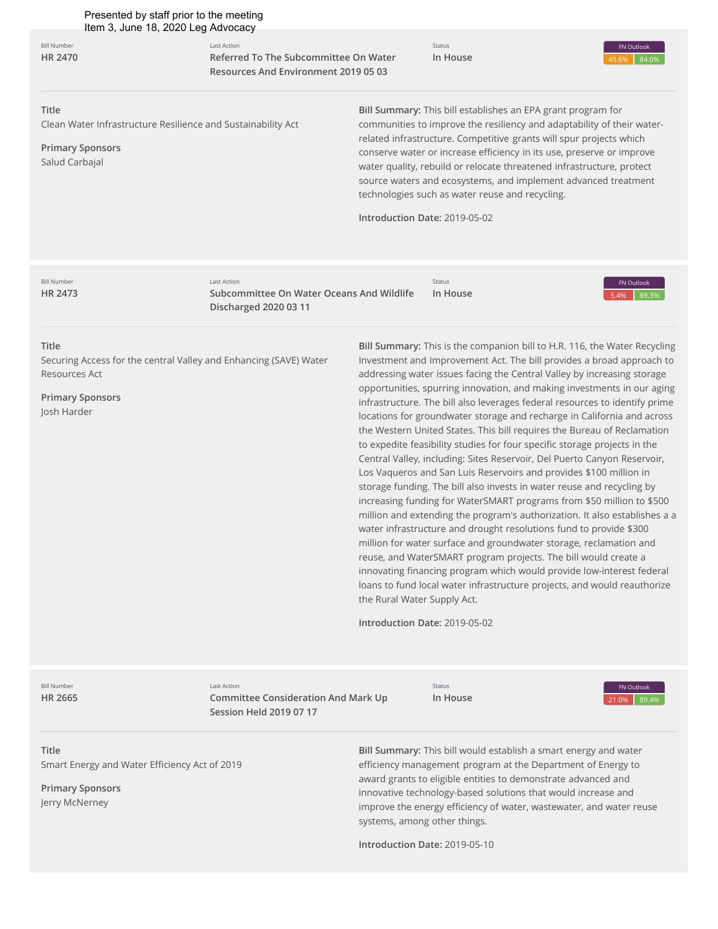Last Action

**Bill Number [HR 2470](http://app.fiscalnote.com/#/share/bill?url=e71c5a01ec6ce37f46a036fe43a98b57)**

**Referred To The Subcommittee On Water Resources And Environment 2019 05 03**

Status **In House** 45.6% 84.0% FN Outlook

#### **Title**

Clean Water Infrastructure Resilience and Sustainability Act

**Primary Sponsors** Salud Carbajal

**Bill Summary:** This bill establishes an EPA grant program for communities to improve the resiliency and adaptability of their waterrelated infrastructure. Competitive grants will spur projects which conserve water or increase efficiency in its use, preserve or improve water quality, rebuild or relocate threatened infrastructure, protect source waters and ecosystems, and implement advanced treatment technologies such as water reuse and recycling.

**Introduction Date:** 2019-05-02

**Bill Number [HR 2473](http://app.fiscalnote.com/#/share/bill?url=4f08ee59b2687582208d7ecf079605f4)**

Last Action Subcommittee On Water Oceans And Wildlife **Discharged 2020 03 11**

Status **In House** 5.4% 89.3% FN Outlook

#### **Title**

Securing Access for the central Valley and Enhancing (SAVE) Water Resources Act

**Primary Sponsors** Josh Harder

**Bill Summary:** This is the companion bill to H.R. 116, the Water Recycling Investment and Improvement Act. The bill provides a broad approach to addressing water issues facing the Central Valley by increasing storage opportunities, spurring innovation, and making investments in our aging infrastructure. The bill also leverages federal resources to identify prime locations for groundwater storage and recharge in California and across the Western United States. This bill requires the Bureau of Reclamation to expedite feasibility studies for four specific storage projects in the Central Valley, including: Sites Reservoir, Del Puerto Canyon Reservoir, Los Vaqueros and San Luis Reservoirs and provides \$100 million in storage funding. The bill also invests in water reuse and recycling by increasing funding for WaterSMART programs from \$50 million to \$500 million and extending the program's authorization. It also establishes a a water infrastructure and drought resolutions fund to provide \$300 million for water surface and groundwater storage, reclamation and reuse, and WaterSMART program projects. The bill would create a innovating financing program which would provide low-interest federal loans to fund local water infrastructure projects, and would reauthorize the Rural Water Supply Act.

**Introduction Date:** 2019-05-02

Bill Number **[HR 2665](http://app.fiscalnote.com/#/share/bill?url=5ae0cf841096312335dac6a421701c61)** Last Action **Committee Consideration And Mark Up Session Held 2019 07 17**

Status **In House**



**Title**

Smart Energy and Water Efficiency Act of 2019

**Primary Sponsors** Jerry McNerney

**Bill Summary:** This bill would establish a smart energy and water efficiency management program at the Department of Energy to award grants to eligible entities to demonstrate advanced and innovative technology-based solutions that would increase and improve the energy efficiency of water, wastewater, and water reuse systems, among other things.

**Introduction Date:** 2019-05-10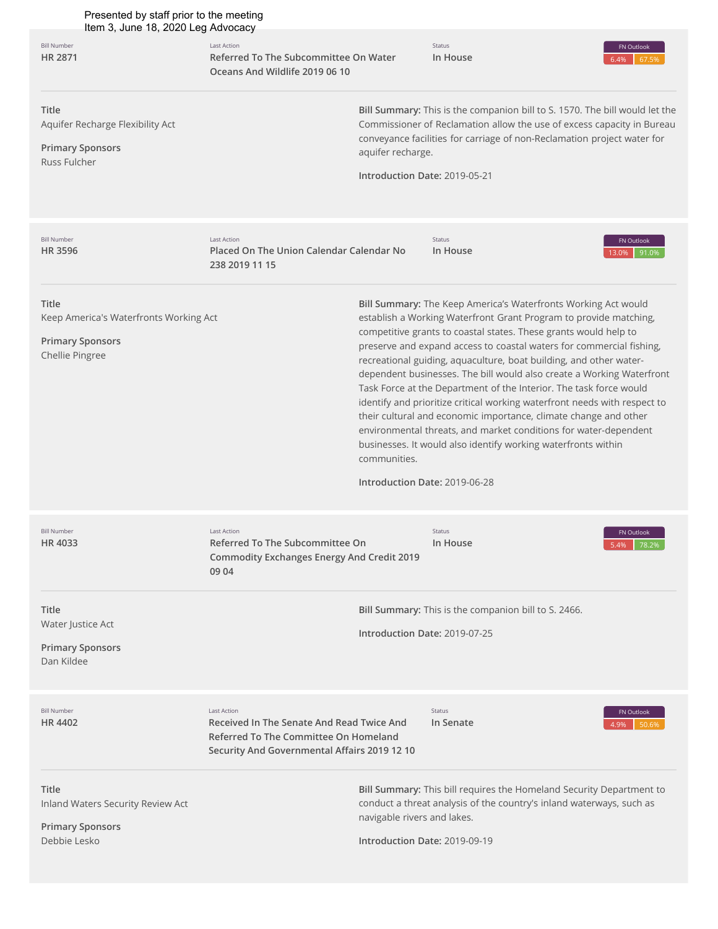| Presented by staff prior to the meeting<br>Item 3, June 18, 2020 Leg Advocacy                 |                                                                                                                                                          |                                                              |                                                                                                                                                                                                                                                                                                                                                                                                                                                                                                                                                                                                                                                                                                                                                                                            |                              |  |
|-----------------------------------------------------------------------------------------------|----------------------------------------------------------------------------------------------------------------------------------------------------------|--------------------------------------------------------------|--------------------------------------------------------------------------------------------------------------------------------------------------------------------------------------------------------------------------------------------------------------------------------------------------------------------------------------------------------------------------------------------------------------------------------------------------------------------------------------------------------------------------------------------------------------------------------------------------------------------------------------------------------------------------------------------------------------------------------------------------------------------------------------------|------------------------------|--|
| <b>Bill Number</b><br>HR 2871                                                                 | <b>Last Action</b><br>Referred To The Subcommittee On Water<br>Oceans And Wildlife 2019 06 10                                                            |                                                              | Status<br>In House                                                                                                                                                                                                                                                                                                                                                                                                                                                                                                                                                                                                                                                                                                                                                                         | FN Outlook<br>6.4%<br>67.59  |  |
| <b>Title</b><br>Aquifer Recharge Flexibility Act<br><b>Primary Sponsors</b><br>Russ Fulcher   |                                                                                                                                                          | aquifer recharge.<br>Introduction Date: 2019-05-21           | Bill Summary: This is the companion bill to S. 1570. The bill would let the<br>Commissioner of Reclamation allow the use of excess capacity in Bureau<br>conveyance facilities for carriage of non-Reclamation project water for                                                                                                                                                                                                                                                                                                                                                                                                                                                                                                                                                           |                              |  |
| <b>Bill Number</b><br><b>HR3596</b>                                                           | <b>Last Action</b><br>Placed On The Union Calendar Calendar No<br>238 2019 11 15                                                                         |                                                              | Status<br>In House                                                                                                                                                                                                                                                                                                                                                                                                                                                                                                                                                                                                                                                                                                                                                                         | FN Outlook<br>91.0%<br>13.0% |  |
| Title<br>Keep America's Waterfronts Working Act<br><b>Primary Sponsors</b><br>Chellie Pingree |                                                                                                                                                          | communities.<br>Introduction Date: 2019-06-28                | Bill Summary: The Keep America's Waterfronts Working Act would<br>establish a Working Waterfront Grant Program to provide matching,<br>competitive grants to coastal states. These grants would help to<br>preserve and expand access to coastal waters for commercial fishing,<br>recreational guiding, aquaculture, boat building, and other water-<br>dependent businesses. The bill would also create a Working Waterfront<br>Task Force at the Department of the Interior. The task force would<br>identify and prioritize critical working waterfront needs with respect to<br>their cultural and economic importance, climate change and other<br>environmental threats, and market conditions for water-dependent<br>businesses. It would also identify working waterfronts within |                              |  |
| <b>Bill Number</b><br>HR 4033                                                                 | Last Action<br>Referred To The Subcommittee On<br><b>Commodity Exchanges Energy And Credit 2019</b><br>09 04                                             |                                                              | Status<br>In House                                                                                                                                                                                                                                                                                                                                                                                                                                                                                                                                                                                                                                                                                                                                                                         | FN Outlook<br>5.4%<br>78.2%  |  |
| <b>Title</b><br>Water Justice Act<br><b>Primary Sponsors</b><br>Dan Kildee                    |                                                                                                                                                          | Introduction Date: 2019-07-25                                | Bill Summary: This is the companion bill to S. 2466.                                                                                                                                                                                                                                                                                                                                                                                                                                                                                                                                                                                                                                                                                                                                       |                              |  |
| <b>Bill Number</b><br><b>HR4402</b>                                                           | <b>Last Action</b><br>Received In The Senate And Read Twice And<br>Referred To The Committee On Homeland<br>Security And Governmental Affairs 2019 12 10 |                                                              | Status<br>In Senate                                                                                                                                                                                                                                                                                                                                                                                                                                                                                                                                                                                                                                                                                                                                                                        | FN Outlook<br>50.69<br>4.9%  |  |
| Title<br>Inland Waters Security Review Act<br><b>Primary Sponsors</b><br>Debbie Lesko         |                                                                                                                                                          | navigable rivers and lakes.<br>Introduction Date: 2019-09-19 | Bill Summary: This bill requires the Homeland Security Department to<br>conduct a threat analysis of the country's inland waterways, such as                                                                                                                                                                                                                                                                                                                                                                                                                                                                                                                                                                                                                                               |                              |  |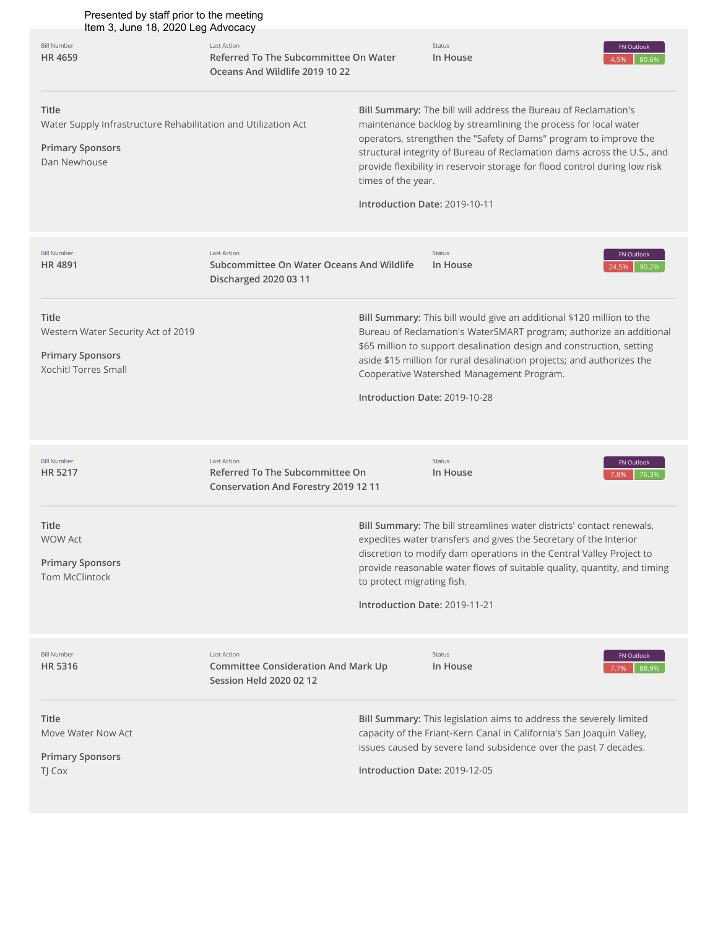| Presented by staff prior to the meeting<br>Item 3, June 18, 2020 Leg Advocacy                                             |                                                                                                      |                                                             |                                                                                                                                                                                                                                                                                                                                                                  |                              |
|---------------------------------------------------------------------------------------------------------------------------|------------------------------------------------------------------------------------------------------|-------------------------------------------------------------|------------------------------------------------------------------------------------------------------------------------------------------------------------------------------------------------------------------------------------------------------------------------------------------------------------------------------------------------------------------|------------------------------|
| <b>Bill Number</b><br>HR 4659                                                                                             | <b>Last Action</b><br>Referred To The Subcommittee On Water<br>Oceans And Wildlife 2019 10 22        |                                                             | Status<br>In House                                                                                                                                                                                                                                                                                                                                               | FN Outlook<br>4.5%<br>80.6%  |
| <b>Title</b><br>Water Supply Infrastructure Rehabilitation and Utilization Act<br><b>Primary Sponsors</b><br>Dan Newhouse |                                                                                                      | times of the year.<br>Introduction Date: 2019-10-11         | Bill Summary: The bill will address the Bureau of Reclamation's<br>maintenance backlog by streamlining the process for local water<br>operators, strengthen the "Safety of Dams" program to improve the<br>structural integrity of Bureau of Reclamation dams across the U.S., and<br>provide flexibility in reservoir storage for flood control during low risk |                              |
| <b>Bill Number</b><br><b>HR4891</b>                                                                                       | <b>Last Action</b><br>Subcommittee On Water Oceans And Wildlife<br>Discharged 2020 03 11             |                                                             | Status<br>In House                                                                                                                                                                                                                                                                                                                                               | FN Outlook<br>90.2%<br>24.5% |
| <b>Title</b><br>Western Water Security Act of 2019<br><b>Primary Sponsors</b><br><b>Xochitl Torres Small</b>              |                                                                                                      | Introduction Date: 2019-10-28                               | Bill Summary: This bill would give an additional \$120 million to the<br>Bureau of Reclamation's WaterSMART program; authorize an additional<br>\$65 million to support desalination design and construction, setting<br>aside \$15 million for rural desalination projects; and authorizes the<br>Cooperative Watershed Management Program.                     |                              |
| <b>Bill Number</b><br>HR 5217                                                                                             | <b>Last Action</b><br>Referred To The Subcommittee On<br><b>Conservation And Forestry 2019 12 11</b> |                                                             | Status<br>In House                                                                                                                                                                                                                                                                                                                                               | FN Outlook<br>76.3%<br>7.8%  |
| Title<br><b>WOW Act</b><br><b>Primary Sponsors</b><br><b>Tom McClintock</b>                                               |                                                                                                      | to protect migrating fish.<br>Introduction Date: 2019-11-21 | Bill Summary: The bill streamlines water districts' contact renewals,<br>expedites water transfers and gives the Secretary of the Interior<br>discretion to modify dam operations in the Central Valley Project to<br>provide reasonable water flows of suitable quality, quantity, and timing                                                                   |                              |
| <b>Bill Number</b><br>HR 5316                                                                                             | <b>Last Action</b><br><b>Committee Consideration And Mark Up</b><br><b>Session Held 2020 02 12</b>   |                                                             | Status<br>In House                                                                                                                                                                                                                                                                                                                                               | FN Outlook<br>88.9%<br>7.7%  |
| <b>Title</b><br>Move Water Now Act<br><b>Primary Sponsors</b><br>TJ Cox                                                   |                                                                                                      | Introduction Date: 2019-12-05                               | Bill Summary: This legislation aims to address the severely limited<br>capacity of the Friant-Kern Canal in California's San Joaquin Valley,<br>issues caused by severe land subsidence over the past 7 decades.                                                                                                                                                 |                              |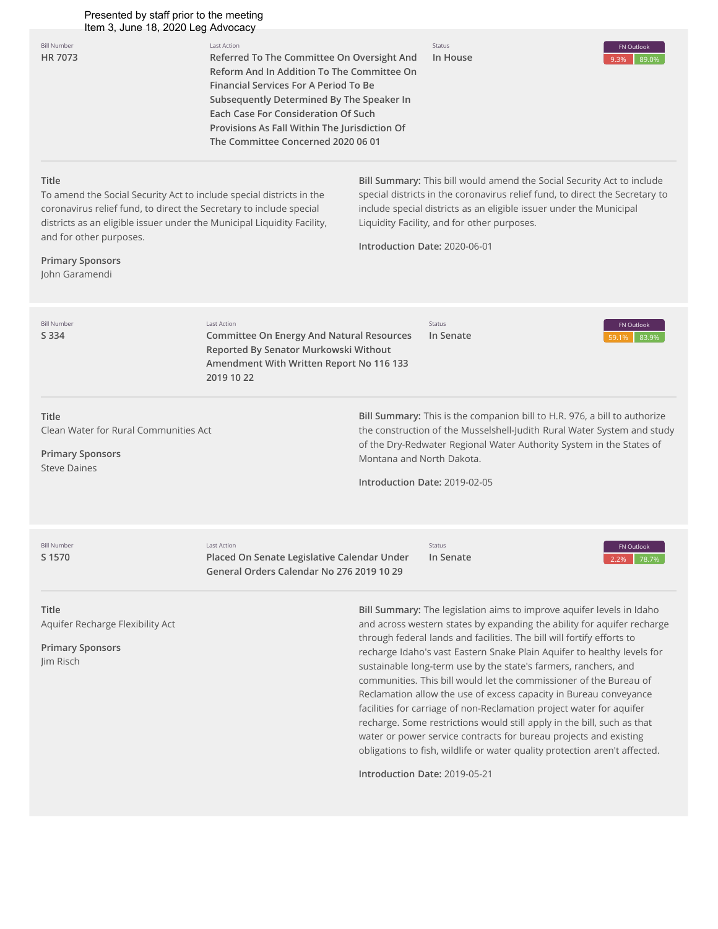# Presented by staff prior to the meeting

| Presented by staff prior to the meeting<br>Item 3, June 18, 2020 Leg Advocacy                                                                                                                                                                                                                                  |                                                                                                                                                                                                                                                                                                                                    |                           |                                                                                                                                                                                                                                                                                                                      |                             |
|----------------------------------------------------------------------------------------------------------------------------------------------------------------------------------------------------------------------------------------------------------------------------------------------------------------|------------------------------------------------------------------------------------------------------------------------------------------------------------------------------------------------------------------------------------------------------------------------------------------------------------------------------------|---------------------------|----------------------------------------------------------------------------------------------------------------------------------------------------------------------------------------------------------------------------------------------------------------------------------------------------------------------|-----------------------------|
| <b>Bill Number</b><br>HR 7073                                                                                                                                                                                                                                                                                  | Last Action<br>Referred To The Committee On Oversight And<br>Reform And In Addition To The Committee On<br><b>Financial Services For A Period To Be</b><br>Subsequently Determined By The Speaker In<br>Each Case For Consideration Of Such<br>Provisions As Fall Within The Jurisdiction Of<br>The Committee Concerned 2020 06 01 |                           | Status<br>In House                                                                                                                                                                                                                                                                                                   | FN Outlook<br>89.0%<br>9.3% |
| <b>Title</b><br>To amend the Social Security Act to include special districts in the<br>coronavirus relief fund, to direct the Secretary to include special<br>districts as an eligible issuer under the Municipal Liquidity Facility,<br>and for other purposes.<br><b>Primary Sponsors</b><br>John Garamendi |                                                                                                                                                                                                                                                                                                                                    |                           | <b>Bill Summary:</b> This bill would amend the Social Security Act to include<br>special districts in the coronavirus relief fund, to direct the Secretary to<br>include special districts as an eligible issuer under the Municipal<br>Liquidity Facility, and for other purposes.<br>Introduction Date: 2020-06-01 |                             |
| <b>Bill Number</b><br>S 334                                                                                                                                                                                                                                                                                    | Last Action<br><b>Committee On Energy And Natural Resources</b><br>Reported By Senator Murkowski Without<br>Amendment With Written Report No 116 133<br>2019 10 22                                                                                                                                                                 |                           | Status<br>In Senate                                                                                                                                                                                                                                                                                                  | FN Outlook<br>83.9%         |
| <b>Title</b><br>Clean Water for Rural Communities Act<br><b>Primary Sponsors</b><br><b>Steve Daines</b>                                                                                                                                                                                                        |                                                                                                                                                                                                                                                                                                                                    | Montana and North Dakota. | Bill Summary: This is the companion bill to H.R. 976, a bill to authorize<br>the construction of the Musselshell-Judith Rural Water System and study<br>of the Dry-Redwater Regional Water Authority System in the States of<br>Introduction Date: 2019-02-05                                                        |                             |
| <b>Bill Number</b><br>S 1570                                                                                                                                                                                                                                                                                   | <b>Last Action</b><br>Placed On Senate Legislative Calendar Under<br>General Orders Calendar No 276 2019 10 29                                                                                                                                                                                                                     |                           | <b>Status</b><br>In Senate                                                                                                                                                                                                                                                                                           | FN Outlook<br>78.7%<br>2 2% |

**Title** Aquifer Recharge Flexibility Act

**Primary Sponsors** Jim Risch

**Bill Summary:** The legislation aims to improve aquifer levels in Idaho and across western states by expanding the ability for aquifer recharge through federal lands and facilities. The bill will fortify efforts to recharge Idaho's vast Eastern Snake Plain Aquifer to healthy levels for sustainable long-term use by the state's farmers, ranchers, and communities. This bill would let the commissioner of the Bureau of Reclamation allow the use of excess capacity in Bureau conveyance facilities for carriage of non-Reclamation project water for aquifer recharge. Some restrictions would still apply in the bill, such as that water or power service contracts for bureau projects and existing obligations to fish, wildlife or water quality protection aren't affected.

**Introduction Date:** 2019-05-21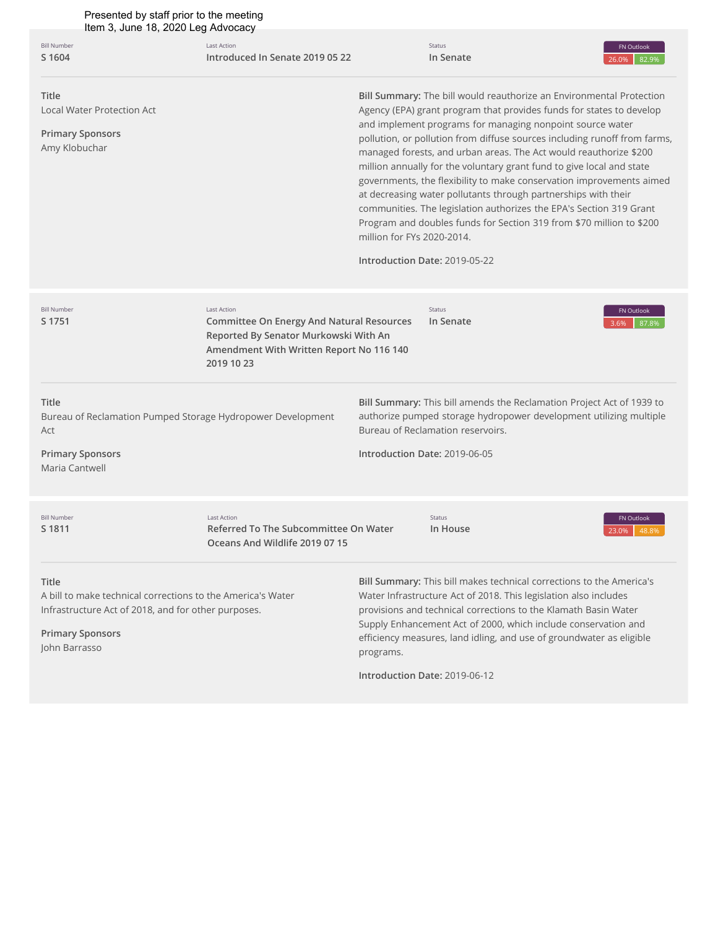| Presented by staff prior to the meeting<br>Item 3, June 18, 2020 Leg Advocacy                                                                                                  |                                                                                                                                                                           |                                                                                                                                                                                                                                                                                                                                                                                                                                                                                                                                                                                                                                                                                                                                                                                              |                                                                                                                                                                                                                                                                                                                                                                                        |                                                                                                                                             |  |
|--------------------------------------------------------------------------------------------------------------------------------------------------------------------------------|---------------------------------------------------------------------------------------------------------------------------------------------------------------------------|----------------------------------------------------------------------------------------------------------------------------------------------------------------------------------------------------------------------------------------------------------------------------------------------------------------------------------------------------------------------------------------------------------------------------------------------------------------------------------------------------------------------------------------------------------------------------------------------------------------------------------------------------------------------------------------------------------------------------------------------------------------------------------------------|----------------------------------------------------------------------------------------------------------------------------------------------------------------------------------------------------------------------------------------------------------------------------------------------------------------------------------------------------------------------------------------|---------------------------------------------------------------------------------------------------------------------------------------------|--|
| <b>Bill Number</b><br>S 1604                                                                                                                                                   | Last Action<br>Introduced In Senate 2019 05 22                                                                                                                            |                                                                                                                                                                                                                                                                                                                                                                                                                                                                                                                                                                                                                                                                                                                                                                                              | Status<br>In Senate                                                                                                                                                                                                                                                                                                                                                                    | FN Outlook<br>82.9%<br>26.0%                                                                                                                |  |
| Title<br><b>Local Water Protection Act</b><br><b>Primary Sponsors</b><br>Amy Klobuchar                                                                                         |                                                                                                                                                                           | Bill Summary: The bill would reauthorize an Environmental Protection<br>Agency (EPA) grant program that provides funds for states to develop<br>and implement programs for managing nonpoint source water<br>pollution, or pollution from diffuse sources including runoff from farms,<br>managed forests, and urban areas. The Act would reauthorize \$200<br>million annually for the voluntary grant fund to give local and state<br>governments, the flexibility to make conservation improvements aimed<br>at decreasing water pollutants through partnerships with their<br>communities. The legislation authorizes the EPA's Section 319 Grant<br>Program and doubles funds for Section 319 from \$70 million to \$200<br>million for FYs 2020-2014.<br>Introduction Date: 2019-05-22 |                                                                                                                                                                                                                                                                                                                                                                                        |                                                                                                                                             |  |
| <b>Bill Number</b><br>S 1751                                                                                                                                                   | <b>Last Action</b><br><b>Committee On Energy And Natural Resources</b><br>Reported By Senator Murkowski With An<br>Amendment With Written Report No 116 140<br>2019 10 23 |                                                                                                                                                                                                                                                                                                                                                                                                                                                                                                                                                                                                                                                                                                                                                                                              | Status<br>In Senate                                                                                                                                                                                                                                                                                                                                                                    | FN Outlook<br>87.8%<br>3.6%                                                                                                                 |  |
| Title<br>Bureau of Reclamation Pumped Storage Hydropower Development<br>Act<br><b>Primary Sponsors</b><br>Maria Cantwell                                                       |                                                                                                                                                                           |                                                                                                                                                                                                                                                                                                                                                                                                                                                                                                                                                                                                                                                                                                                                                                                              | Bureau of Reclamation reservoirs.<br>Introduction Date: 2019-06-05                                                                                                                                                                                                                                                                                                                     | Bill Summary: This bill amends the Reclamation Project Act of 1939 to<br>authorize pumped storage hydropower development utilizing multiple |  |
| <b>Bill Number</b><br>S 1811                                                                                                                                                   | <b>Last Action</b><br>Referred To The Subcommittee On Water<br>Oceans And Wildlife 2019 07 15                                                                             |                                                                                                                                                                                                                                                                                                                                                                                                                                                                                                                                                                                                                                                                                                                                                                                              | Status<br>In House                                                                                                                                                                                                                                                                                                                                                                     | FN Outlook<br>23.0%<br>48.8%                                                                                                                |  |
| <b>Title</b><br>A bill to make technical corrections to the America's Water<br>Infrastructure Act of 2018, and for other purposes.<br><b>Primary Sponsors</b><br>John Barrasso |                                                                                                                                                                           | programs.                                                                                                                                                                                                                                                                                                                                                                                                                                                                                                                                                                                                                                                                                                                                                                                    | Bill Summary: This bill makes technical corrections to the America's<br>Water Infrastructure Act of 2018. This legislation also includes<br>provisions and technical corrections to the Klamath Basin Water<br>Supply Enhancement Act of 2000, which include conservation and<br>efficiency measures, land idling, and use of groundwater as eligible<br>Introduction Date: 2019-06-12 |                                                                                                                                             |  |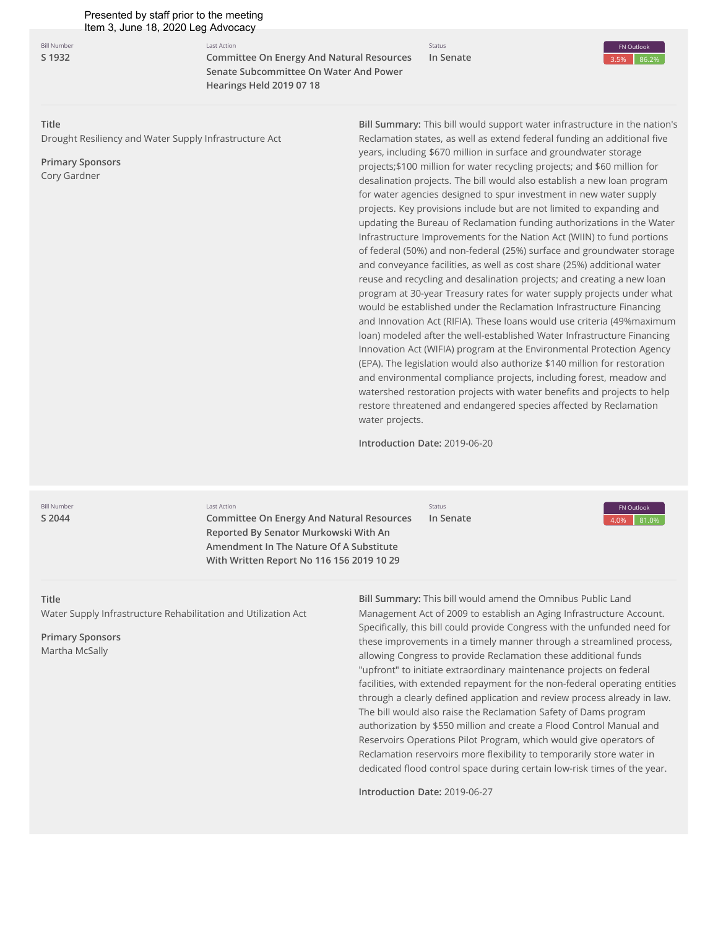**Bill Number [S 1932](http://app.fiscalnote.com/#/share/bill?url=74badb2e3feac2c286d23f3be048db89)**

Last Action **Committee On Energy And Natural Resources Senate Subcommittee On Water And Power Hearings Held 2019 07 18**

Status **In Senate**



**Title**

Drought Resiliency and Water Supply Infrastructure Act

**Primary Sponsors** Cory Gardner

**Bill Summary:** This bill would support water infrastructure in the nation's Reclamation states, as well as extend federal funding an additional five years, including \$670 million in surface and groundwater storage projects;\$100 million for water recycling projects; and \$60 million for desalination projects. The bill would also establish a new loan program for water agencies designed to spur investment in new water supply projects. Key provisions include but are not limited to expanding and updating the Bureau of Reclamation funding authorizations in the Water Infrastructure Improvements for the Nation Act (WIIN) to fund portions of federal (50%) and non-federal (25%) surface and groundwater storage and conveyance facilities, as well as cost share (25%) additional water reuse and recycling and desalination projects; and creating a new loan program at 30-year Treasury rates for water supply projects under what would be established under the Reclamation Infrastructure Financing and Innovation Act (RIFIA). These loans would use criteria (49%maximum loan) modeled after the well-established Water Infrastructure Financing Innovation Act (WIFIA) program at the Environmental Protection Agency (EPA). The legislation would also authorize \$140 million for restoration and environmental compliance projects, including forest, meadow and watershed restoration projects with water benefits and projects to help restore threatened and endangered species affected by Reclamation water projects.

**Introduction Date:** 2019-06-20

**Bill Number [S 2044](http://app.fiscalnote.com/#/share/bill?url=6fb2ad809caa4aae1f3a0344044c3254)** Last Action

**Committee On Energy And Natural Resources Reported By Senator Murkowski With An Amendment In The Nature Of A Substitute With Written Report No 116 156 2019 10 29** 

Status **In Senate**



#### **Title**

Water Supply Infrastructure Rehabilitation and Utilization Act

**Primary Sponsors** Martha McSally

**Bill Summary:** This bill would amend the Omnibus Public Land Management Act of 2009 to establish an Aging Infrastructure Account. Specifically, this bill could provide Congress with the unfunded need for these improvements in a timely manner through a streamlined process, allowing Congress to provide Reclamation these additional funds "upfront" to initiate extraordinary maintenance projects on federal facilities, with extended repayment for the non-federal operating entities through a clearly defined application and review process already in law. The bill would also raise the Reclamation Safety of Dams program authorization by \$550 million and create a Flood Control Manual and Reservoirs Operations Pilot Program, which would give operators of Reclamation reservoirs more flexibility to temporarily store water in dedicated flood control space during certain low-risk times of the year.

**Introduction Date:** 2019-06-27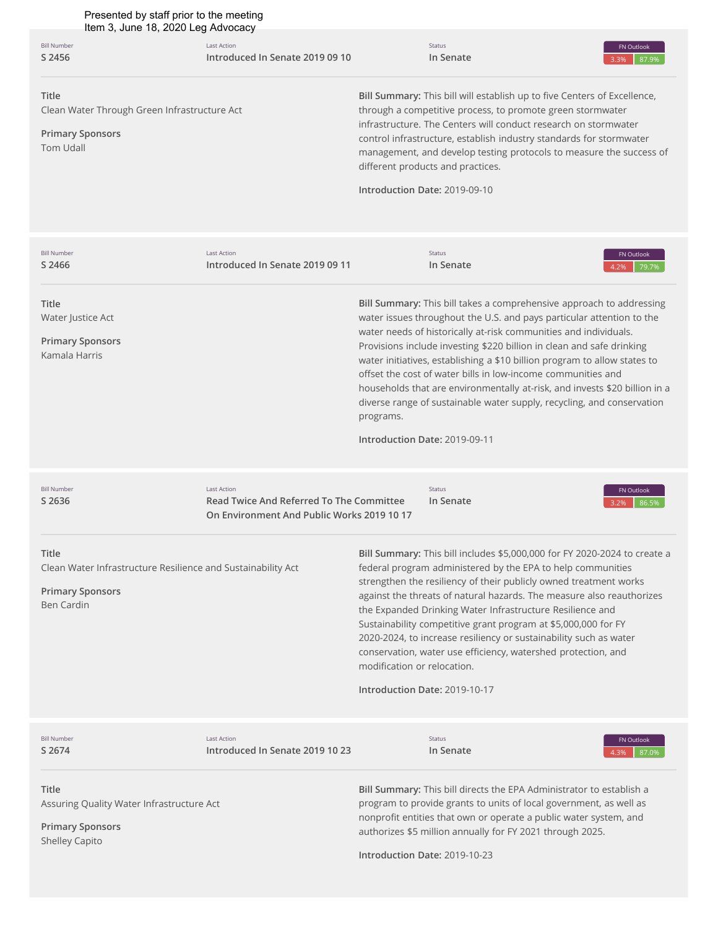| Presented by staff prior to the meeting<br>Item 3, June 18, 2020 Leg Advocacy                                                |                                                                                                              |                             |                                                                                                                                                                                                                                                                                                                                                                                                                                                                                                                                                                                                                                  |                             |
|------------------------------------------------------------------------------------------------------------------------------|--------------------------------------------------------------------------------------------------------------|-----------------------------|----------------------------------------------------------------------------------------------------------------------------------------------------------------------------------------------------------------------------------------------------------------------------------------------------------------------------------------------------------------------------------------------------------------------------------------------------------------------------------------------------------------------------------------------------------------------------------------------------------------------------------|-----------------------------|
| <b>Bill Number</b><br>S 2456                                                                                                 | <b>Last Action</b><br>Introduced In Senate 2019 09 10                                                        |                             | Status<br>In Senate                                                                                                                                                                                                                                                                                                                                                                                                                                                                                                                                                                                                              | FN Outlook<br>87.9%<br>3.3% |
| <b>Title</b><br>Clean Water Through Green Infrastructure Act<br><b>Primary Sponsors</b><br><b>Tom Udall</b>                  |                                                                                                              |                             | Bill Summary: This bill will establish up to five Centers of Excellence,<br>through a competitive process, to promote green stormwater<br>infrastructure. The Centers will conduct research on stormwater<br>control infrastructure, establish industry standards for stormwater<br>management, and develop testing protocols to measure the success of<br>different products and practices.<br>Introduction Date: 2019-09-10                                                                                                                                                                                                    |                             |
| <b>Bill Number</b><br>S 2466                                                                                                 | <b>Last Action</b><br>Introduced In Senate 2019 09 11                                                        |                             | Status<br>In Senate                                                                                                                                                                                                                                                                                                                                                                                                                                                                                                                                                                                                              | FN Outlook<br>79.7%<br>4.2% |
| Title<br>Water Justice Act<br><b>Primary Sponsors</b><br>Kamala Harris                                                       |                                                                                                              | programs.                   | Bill Summary: This bill takes a comprehensive approach to addressing<br>water issues throughout the U.S. and pays particular attention to the<br>water needs of historically at-risk communities and individuals.<br>Provisions include investing \$220 billion in clean and safe drinking<br>water initiatives, establishing a \$10 billion program to allow states to<br>offset the cost of water bills in low-income communities and<br>households that are environmentally at-risk, and invests \$20 billion in a<br>diverse range of sustainable water supply, recycling, and conservation<br>Introduction Date: 2019-09-11 |                             |
| <b>Bill Number</b><br>S 2636                                                                                                 | <b>Last Action</b><br>Read Twice And Referred To The Committee<br>On Environment And Public Works 2019 10 17 |                             | Status<br>In Senate                                                                                                                                                                                                                                                                                                                                                                                                                                                                                                                                                                                                              | FN Outlook<br>86.5%         |
| <b>Title</b><br>Clean Water Infrastructure Resilience and Sustainability Act<br><b>Primary Sponsors</b><br><b>Ben Cardin</b> |                                                                                                              | modification or relocation. | Bill Summary: This bill includes \$5,000,000 for FY 2020-2024 to create a<br>federal program administered by the EPA to help communities<br>strengthen the resiliency of their publicly owned treatment works<br>against the threats of natural hazards. The measure also reauthorizes<br>the Expanded Drinking Water Infrastructure Resilience and<br>Sustainability competitive grant program at \$5,000,000 for FY<br>2020-2024, to increase resiliency or sustainability such as water<br>conservation, water use efficiency, watershed protection, and<br>Introduction Date: 2019-10-17                                     |                             |
| <b>Bill Number</b><br>S 2674                                                                                                 | <b>Last Action</b><br>Introduced In Senate 2019 10 23                                                        |                             | Status<br>In Senate                                                                                                                                                                                                                                                                                                                                                                                                                                                                                                                                                                                                              | FN Outlook<br>87.0%<br>4.3% |
| Title<br>Assuring Quality Water Infrastructure Act<br><b>Primary Sponsors</b><br>Shelley Capito                              |                                                                                                              |                             | Bill Summary: This bill directs the EPA Administrator to establish a<br>program to provide grants to units of local government, as well as<br>nonprofit entities that own or operate a public water system, and<br>authorizes \$5 million annually for FY 2021 through 2025.<br>Introduction Date: 2019-10-23                                                                                                                                                                                                                                                                                                                    |                             |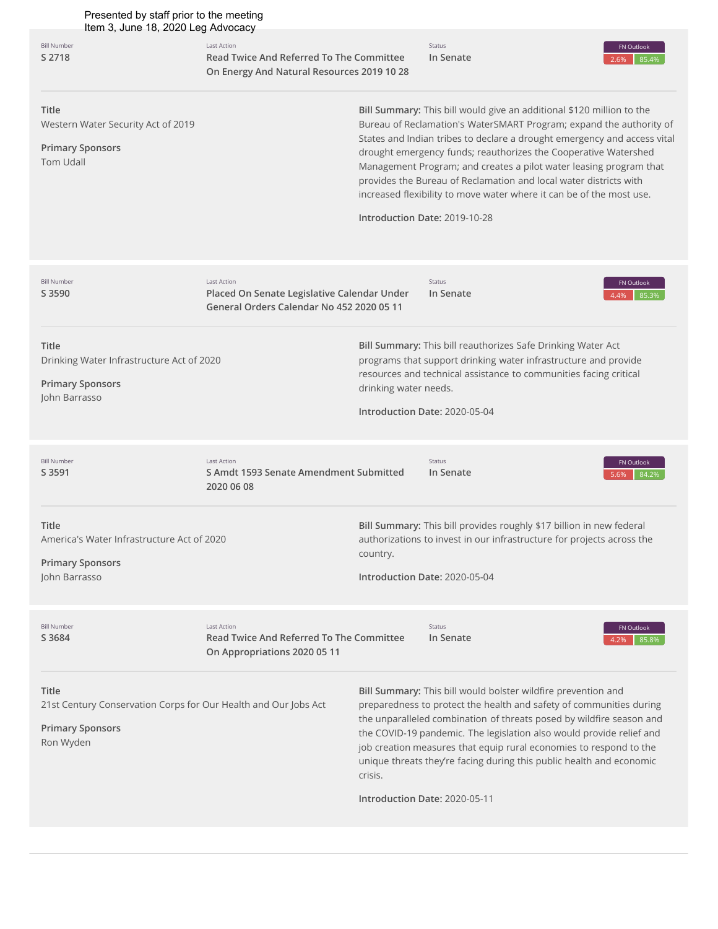| Presented by staff prior to the meeting<br>Item 3, June 18, 2020 Leg Advocacy                                    |                                                                                                                     |                       |                                                                                                                                                                                                                                                                                                                                                                                                                                                                                                                                                 |                             |
|------------------------------------------------------------------------------------------------------------------|---------------------------------------------------------------------------------------------------------------------|-----------------------|-------------------------------------------------------------------------------------------------------------------------------------------------------------------------------------------------------------------------------------------------------------------------------------------------------------------------------------------------------------------------------------------------------------------------------------------------------------------------------------------------------------------------------------------------|-----------------------------|
| <b>Bill Number</b><br>S 2718                                                                                     | <b>Last Action</b><br><b>Read Twice And Referred To The Committee</b><br>On Energy And Natural Resources 2019 10 28 |                       | Status<br>In Senate                                                                                                                                                                                                                                                                                                                                                                                                                                                                                                                             | FN Outlook<br>85.4%<br>2.6% |
| <b>Title</b><br>Western Water Security Act of 2019<br><b>Primary Sponsors</b><br><b>Tom Udall</b>                |                                                                                                                     |                       | Bill Summary: This bill would give an additional \$120 million to the<br>Bureau of Reclamation's WaterSMART Program; expand the authority of<br>States and Indian tribes to declare a drought emergency and access vital<br>drought emergency funds; reauthorizes the Cooperative Watershed<br>Management Program; and creates a pilot water leasing program that<br>provides the Bureau of Reclamation and local water districts with<br>increased flexibility to move water where it can be of the most use.<br>Introduction Date: 2019-10-28 |                             |
| <b>Bill Number</b><br>S 3590                                                                                     | <b>Last Action</b><br>Placed On Senate Legislative Calendar Under<br>General Orders Calendar No 452 2020 05 11      |                       | Status<br>In Senate                                                                                                                                                                                                                                                                                                                                                                                                                                                                                                                             | FN Outlook<br>85.3%<br>4.4% |
| <b>Title</b><br>Drinking Water Infrastructure Act of 2020<br><b>Primary Sponsors</b><br>John Barrasso            |                                                                                                                     | drinking water needs. | Bill Summary: This bill reauthorizes Safe Drinking Water Act<br>programs that support drinking water infrastructure and provide<br>resources and technical assistance to communities facing critical<br>Introduction Date: 2020-05-04                                                                                                                                                                                                                                                                                                           |                             |
| <b>Bill Number</b><br>S 3591                                                                                     | <b>Last Action</b><br>S Amdt 1593 Senate Amendment Submitted<br>2020 06 08                                          |                       | Status<br>In Senate                                                                                                                                                                                                                                                                                                                                                                                                                                                                                                                             | FN Outlook<br>84.2%<br>5.6% |
| Title<br>America's Water Infrastructure Act of 2020<br><b>Primary Sponsors</b><br>John Barrasso                  |                                                                                                                     | country.              | Bill Summary: This bill provides roughly \$17 billion in new federal<br>authorizations to invest in our infrastructure for projects across the<br>Introduction Date: 2020-05-04                                                                                                                                                                                                                                                                                                                                                                 |                             |
| <b>Bill Number</b><br>S 3684                                                                                     | <b>Last Action</b><br><b>Read Twice And Referred To The Committee</b><br>On Appropriations 2020 05 11               |                       | Status<br>In Senate                                                                                                                                                                                                                                                                                                                                                                                                                                                                                                                             | FN Outlook<br>85.8%<br>4.2% |
| Title<br>21st Century Conservation Corps for Our Health and Our Jobs Act<br><b>Primary Sponsors</b><br>Ron Wyden |                                                                                                                     |                       | Bill Summary: This bill would bolster wildfire prevention and<br>preparedness to protect the health and safety of communities during<br>the unparalleled combination of threats posed by wildfire season and<br>the COVID-19 pandemic. The legislation also would provide relief and<br>job creation measures that equip rural economies to respond to the<br>unique threats they're facing during this public health and economic                                                                                                              |                             |

**Introduction Date:** 2020-05-11

crisis.